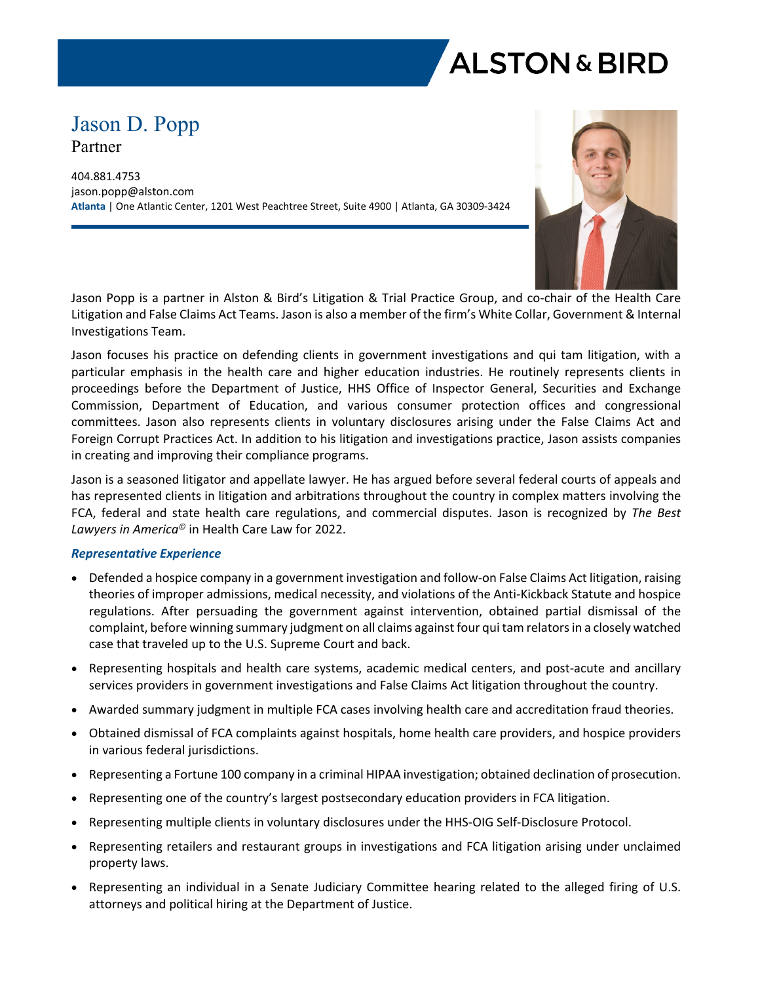

# Jason D. Popp Partner

404.881.4753 jason.popp@alston.com **Atlanta** | One Atlantic Center, 1201 West Peachtree Street, Suite 4900 | Atlanta, GA 30309-3424



Jason Popp is a partner in Alston & Bird's Litigation & Trial Practice Group, and co-chair of the Health Care Litigation and False Claims Act Teams. Jason is also a member of the firm's White Collar, Government & Internal Investigations Team.

Jason focuses his practice on defending clients in government investigations and qui tam litigation, with a particular emphasis in the health care and higher education industries. He routinely represents clients in proceedings before the Department of Justice, HHS Office of Inspector General, Securities and Exchange Commission, Department of Education, and various consumer protection offices and congressional committees. Jason also represents clients in voluntary disclosures arising under the False Claims Act and Foreign Corrupt Practices Act. In addition to his litigation and investigations practice, Jason assists companies in creating and improving their compliance programs.

Jason is a seasoned litigator and appellate lawyer. He has argued before several federal courts of appeals and has represented clients in litigation and arbitrations throughout the country in complex matters involving the FCA, federal and state health care regulations, and commercial disputes. Jason is recognized by *The Best Lawyers in America©* in Health Care Law for 2022.

#### *Representative Experience*

- Defended a hospice company in a government investigation and follow-on False Claims Act litigation, raising theories of improper admissions, medical necessity, and violations of the Anti-Kickback Statute and hospice regulations. After persuading the government against intervention, obtained partial dismissal of the complaint, before winning summary judgment on all claims against four qui tam relators in a closely watched case that traveled up to the U.S. Supreme Court and back.
- Representing hospitals and health care systems, academic medical centers, and post-acute and ancillary services providers in government investigations and False Claims Act litigation throughout the country.
- Awarded summary judgment in multiple FCA cases involving health care and accreditation fraud theories.
- Obtained dismissal of FCA complaints against hospitals, home health care providers, and hospice providers in various federal jurisdictions.
- Representing a Fortune 100 company in a criminal HIPAA investigation; obtained declination of prosecution.
- Representing one of the country's largest postsecondary education providers in FCA litigation.
- Representing multiple clients in voluntary disclosures under the HHS-OIG Self-Disclosure Protocol.
- Representing retailers and restaurant groups in investigations and FCA litigation arising under unclaimed property laws.
- Representing an individual in a Senate Judiciary Committee hearing related to the alleged firing of U.S. attorneys and political hiring at the Department of Justice.